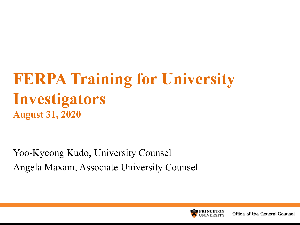#### **FERPA Training for University Investigators August 31, 2020**

Yoo-Kyeong Kudo, University Counsel Angela Maxam, Associate University Counsel

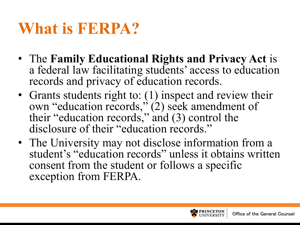## **What is FERPA?**

- The **Family Educational Rights and Privacy Act** is a federal law facilitating students' access to education records and privacy of education records.
- Grants students right to: (1) inspect and review their own "education records," (2) seek amendment of their "education records," and (3) control the disclosure of their "education records."
- The University may not disclose information from a student's "education records" unless it obtains written consent from the student or follows a specific exception from FERPA.

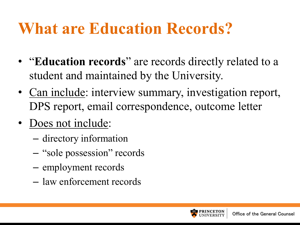## **What are Education Records?**

- "**Education records**" are records directly related to a student and maintained by the University.
- Can include: interview summary, investigation report, DPS report, email correspondence, outcome letter
- Does not include:
	- directory information
	- "sole possession" records
	- employment records
	- law enforcement records

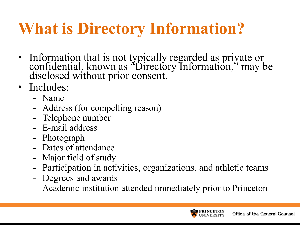# **What is Directory Information?**

- Information that is not typically regarded as private or confidential, known as "Directory Information," may be disclosed without prior consent.
- Includes:
	- Name
	- Address (for compelling reason)
	- Telephone number
	- E-mail address
	- Photograph
	- Dates of attendance
	- Major field of study
	- Participation in activities, organizations, and athletic teams
	- Degrees and awards
	- Academic institution attended immediately prior to Princeton

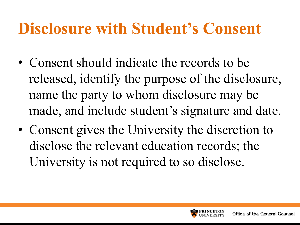## **Disclosure with Student's Consent**

- Consent should indicate the records to be released, identify the purpose of the disclosure, name the party to whom disclosure may be made, and include student's signature and date.
- Consent gives the University the discretion to disclose the relevant education records; the University is not required to so disclose.

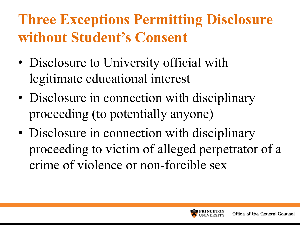#### **Three Exceptions Permitting Disclosure without Student's Consent**

- Disclosure to University official with legitimate educational interest
- Disclosure in connection with disciplinary proceeding (to potentially anyone)
- Disclosure in connection with disciplinary proceeding to victim of alleged perpetrator of a crime of violence or non-forcible sex

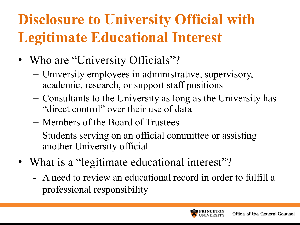## **Disclosure to University Official with Legitimate Educational Interest**

- Who are "University Officials"?
	- University employees in administrative, supervisory, academic, research, or support staff positions
	- Consultants to the University as long as the University has "direct control" over their use of data
	- Members of the Board of Trustees
	- Students serving on an official committee or assisting another University official
- What is a "legitimate educational interest"?
	- A need to review an educational record in order to fulfill a professional responsibility

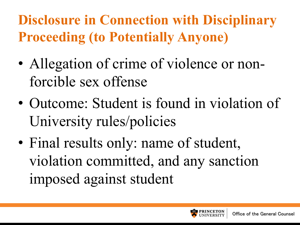#### **Disclosure in Connection with Disciplinary Proceeding (to Potentially Anyone)**

- Allegation of crime of violence or nonforcible sex offense
- Outcome: Student is found in violation of University rules/policies
- Final results only: name of student, violation committed, and any sanction imposed against student